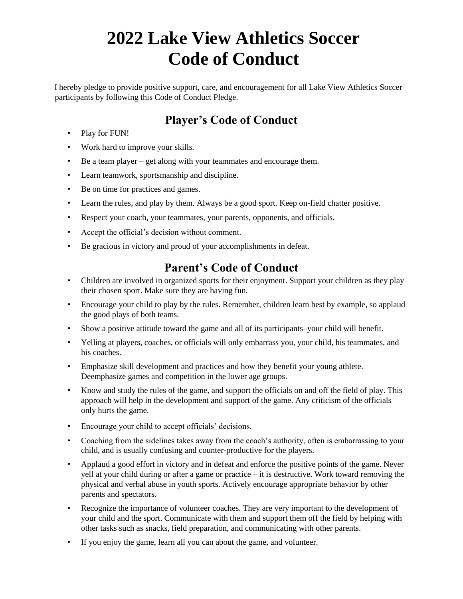# **2022 Lake View Athletics Soccer Code of Conduct**

I hereby pledge to provide positive support, care, and encouragement for all Lake View Athletics Soccer participants by following this Code of Conduct Pledge.

#### **Player's Code of Conduct**

- Play for FUN!
- Work hard to improve your skills.
- Be a team player get along with your teammates and encourage them.
- Learn teamwork, sportsmanship and discipline.
- Be on time for practices and games.
- Learn the rules, and play by them. Always be a good sport. Keep on-field chatter positive.
- Respect your coach, your teammates, your parents, opponents, and officials.
- Accept the official's decision without comment.
- Be gracious in victory and proud of your accomplishments in defeat.

## **Parent's Code of Conduct**

- Children are involved in organized sports for their enjoyment. Support your children as they play their chosen sport. Make sure they are having fun.
- Encourage your child to play by the rules. Remember, children learn best by example, so applaud the good plays of both teams.
- Show a positive attitude toward the game and all of its participants–your child will benefit.
- Yelling at players, coaches, or officials will only embarrass you, your child, his teammates, and his coaches.
- Emphasize skill development and practices and how they benefit your young athlete. Deemphasize games and competition in the lower age groups.
- Know and study the rules of the game, and support the officials on and off the field of play. This approach will help in the development and support of the game. Any criticism of the officials only hurts the game.
- Encourage your child to accept officials' decisions.
- Coaching from the sidelines takes away from the coach's authority, often is embarrassing to your child, and is usually confusing and counter-productive for the players.
- Applaud a good effort in victory and in defeat and enforce the positive points of the game. Never yell at your child during or after a game or practice – it is destructive. Work toward removing the physical and verbal abuse in youth sports. Actively encourage appropriate behavior by other parents and spectators.
- Recognize the importance of volunteer coaches. They are very important to the development of your child and the sport. Communicate with them and support them off the field by helping with other tasks such as snacks, field preparation, and communicating with other parents.
- If you enjoy the game, learn all you can about the game, and volunteer.